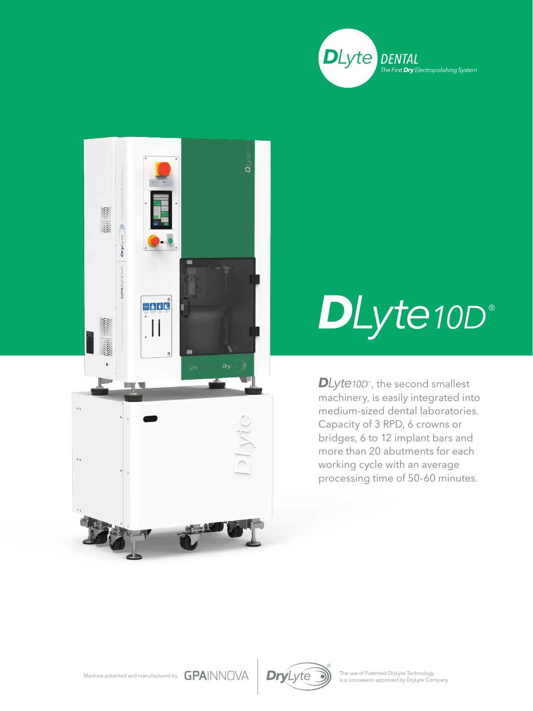



## *DLyte10D* ®

*DLyte10D* ® , the second smallest machinery, is easily integrated into medium-sized dental laboratories. Capacity of 3 RPD, 6 crowns or bridges, 6 to 12 implant bars and more than 20 abutments for each working cycle with an average processing time of 50-60 minutes.



The use of Patented DryLyte Technology<br>is a concession approved by DryLyte Company